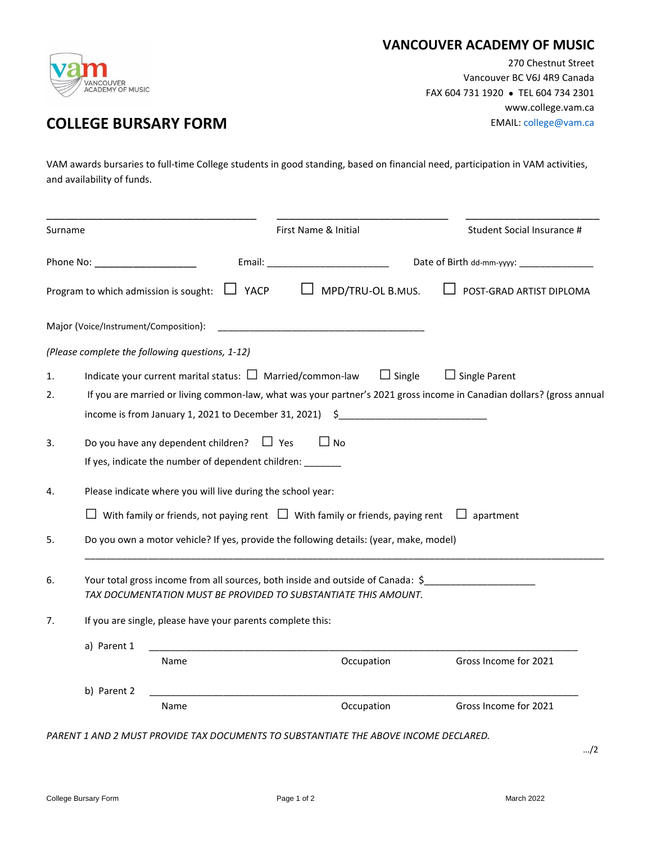

## **VANCOUVER ACADEMY OF MUSIC**

270 Chestnut Street Vancouver BC V6J 4R9 Canada FAX 604 731 1920 ● TEL 604 734 2301 www.college.vam.ca

## **COLLEGE BURSARY FORM EMAIL:** [college@vam.ca](mailto:college@vam.ca)

VAM awards bursaries to full-time College students in good standing, based on financial need, participation in VAM activities, and availability of funds.

| Surname                                                                                                                                                                                                                       |                                                                                                                                                                                          |             | First Name & Initial | Student Social Insurance # |  |  |
|-------------------------------------------------------------------------------------------------------------------------------------------------------------------------------------------------------------------------------|------------------------------------------------------------------------------------------------------------------------------------------------------------------------------------------|-------------|----------------------|----------------------------|--|--|
| Phone No: The contract of the contract of the contract of the contract of the contract of the contract of the contract of the contract of the contract of the contract of the contract of the contract of the contract of the |                                                                                                                                                                                          | Email:      |                      | Date of Birth dd-mm-yyyy:  |  |  |
|                                                                                                                                                                                                                               | Program to which admission is sought:                                                                                                                                                    | $\Box$ YACP | MPD/TRU-OL B.MUS.    | POST-GRAD ARTIST DIPLOMA   |  |  |
|                                                                                                                                                                                                                               | Major (Voice/Instrument/Composition):                                                                                                                                                    |             |                      |                            |  |  |
|                                                                                                                                                                                                                               | (Please complete the following questions, 1-12)                                                                                                                                          |             |                      |                            |  |  |
| 1.                                                                                                                                                                                                                            | Indicate your current marital status: $\square$ Married/common-law                                                                                                                       |             | $\Box$ Single        | $\Box$ Single Parent       |  |  |
| 2.                                                                                                                                                                                                                            | If you are married or living common-law, what was your partner's 2021 gross income in Canadian dollars? (gross annual<br>income is from January 1, 2021 to December 31, 2021) $\quad$ \$ |             |                      |                            |  |  |
| 3.                                                                                                                                                                                                                            | Do you have any dependent children? $\Box$ Yes<br>$\Box$ No<br>If yes, indicate the number of dependent children: _______                                                                |             |                      |                            |  |  |
| 4.                                                                                                                                                                                                                            | Please indicate where you will live during the school year:                                                                                                                              |             |                      |                            |  |  |
|                                                                                                                                                                                                                               | $\Box$ With family or friends, not paying rent $\Box$ With family or friends, paying rent $\Box$ apartment                                                                               |             |                      |                            |  |  |
| 5.                                                                                                                                                                                                                            | Do you own a motor vehicle? If yes, provide the following details: (year, make, model)                                                                                                   |             |                      |                            |  |  |
| 6.                                                                                                                                                                                                                            | Your total gross income from all sources, both inside and outside of Canada: \$<br>TAX DOCUMENTATION MUST BE PROVIDED TO SUBSTANTIATE THIS AMOUNT.                                       |             |                      |                            |  |  |
| 7.                                                                                                                                                                                                                            | If you are single, please have your parents complete this:                                                                                                                               |             |                      |                            |  |  |
|                                                                                                                                                                                                                               | a) Parent 1                                                                                                                                                                              |             |                      |                            |  |  |
|                                                                                                                                                                                                                               | Name                                                                                                                                                                                     |             | Occupation           | Gross Income for 2021      |  |  |
|                                                                                                                                                                                                                               | b) Parent 2                                                                                                                                                                              |             |                      |                            |  |  |
|                                                                                                                                                                                                                               | Name                                                                                                                                                                                     |             | Occupation           | Gross Income for 2021      |  |  |